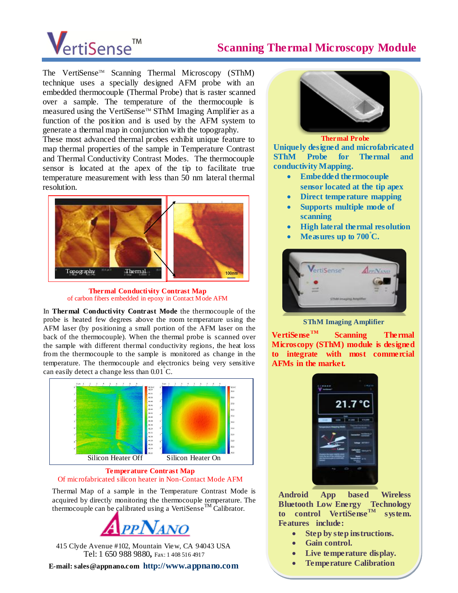# VertiSense<sup>™</sup>

## **Scanning Thermal Microscopy Module**

**Ordering Information** The VertiSense™ Scanning Thermal Microscopy (SThM) technique uses a specially designed AFM probe with an embedded thermocouple (Thermal Probe) that is raster scanned over a sample. The temperature of the thermocouple is measured using the VertiSense™ SThM Imaging Amplifier as a function of the position and is used by the AFM system to generate a thermal map in conjunction with the topography.

These most advanced thermal probes exhibit unique feature to map thermal properties of the sample in Temperature Contrast and Thermal Conductivity Contrast Modes. The thermocouple sensor is located at the apex of the tip to facilitate true temperature measurement with less than  $50$  nm lateral thermal resolution.



**Thermal Conductivity Contrast Map** of carbon fibers embedded in epoxy in Contact Mode AFM

In **Thermal Conductivity Contrast Mode** the thermocouple of the probe is heated few degrees above the room temperature using the AFM laser (by positioning a small portion of the AFM laser on the back of the thermocouple). When the thermal probe is scanned over the sample with different thermal conductivity regions, the heat loss from the thermocouple to the sample is monitored as change in the temperature. The thermocouple and electronics being very sensitive can easily detect a change less than 0.01° C.



**Temperature Contrast Map** Of microfabricated silicon heater in Non-Contact Mode AFM

Thermal Map of a sample in the Temperature Contrast Mode is acquired by directly monitoring the thermocouple temperature. The thermocouple can be calibrated using a VertiSense<sup>TM</sup> Calibrator.



415 Clyde Avenue #102, Mountain View, CA 94043 USA Tel: 1 650 988 9880**,** Fax: 1 408 516 4917

**E-mail: sales@appnano.com http://www.appnano.com** 



**Thermal Probe**

**Uniquely designed and microfabricated SThM Probe for Thermal and conductivity Mapping.** 

- **Embedded thermocouple sensor located at the tip apex**
- **Direct temperature mapping**
- **Supports multiple mode of scanning**
- **High lateral thermal resolution**
- **Measures up to 700°C.**



#### **SThM Imaging Amplifier**

**VertiSenseTM Scanning Thermal Microscopy (SThM) module is designed to integrate with most commercial AFMs in the market.**



**Android App based Wireless Bluetooth Low Energy Technology to control VertiSenseTM system. Features include:**

- **Step by step instructions.**
- **Gain control.**
- **Live temperature display.**
- **Temperature Calibration**